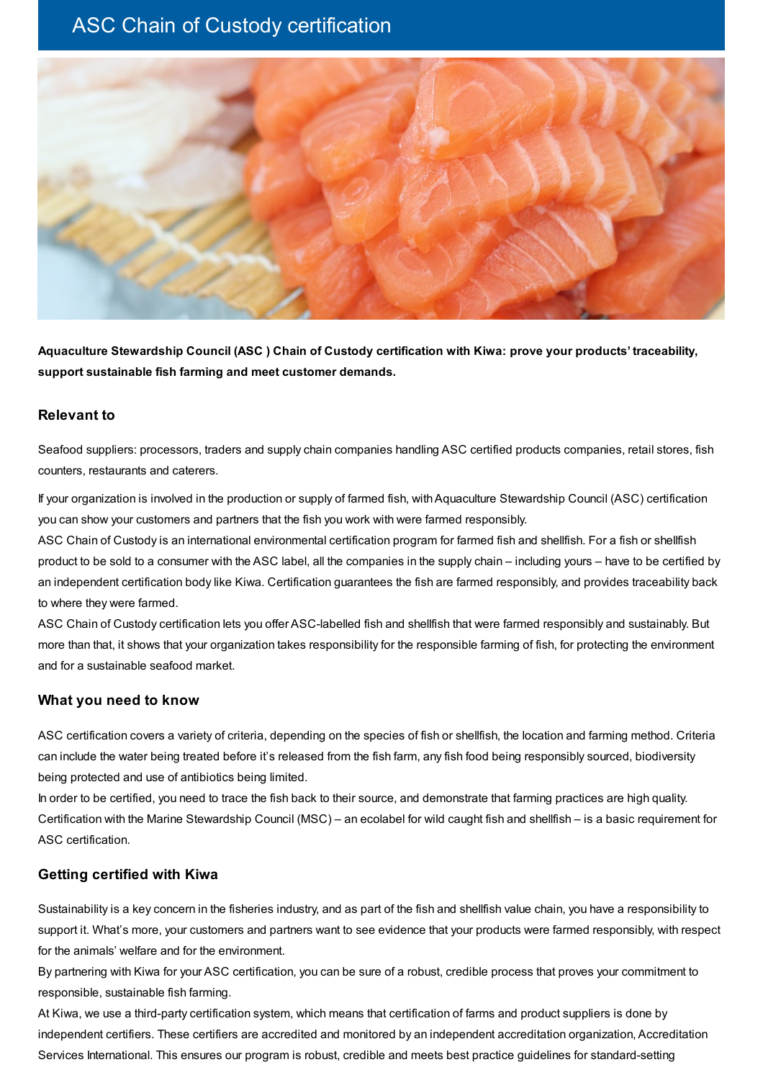# ASC Chain of Custody certification



**Aquaculture Stewardship Council (ASC ) Chain of Custody certification with Kiwa: prove your products' traceability, support sustainable fish farming and meet customer demands.**

### **Relevant to**

Seafood suppliers: processors, traders and supply chain companies handling ASC certified products companies, retail stores, fish counters, restaurants and caterers.

If your organization is involved in the production or supply of farmed fish, withAquaculture Stewardship Council (ASC) certification you can show your customers and partners that the fish you work with were farmed responsibly.

ASC Chain of Custody is an international environmental certification program for farmed fish and shellfish. For a fish or shellfish product to be sold to a consumer with the ASC label, all the companies in the supply chain – including yours – have to be certified by an independent certification body like Kiwa. Certification guarantees the fish are farmed responsibly, and provides traceability back to where they were farmed.

ASC Chain of Custody certification lets you offer ASC-labelled fish and shellfish that were farmed responsibly and sustainably. But more than that, it shows that your organization takes responsibility for the responsible farming of fish, for protecting the environment and for a sustainable seafood market.

#### **What you need to know**

ASC certification covers a variety of criteria, depending on the species of fish or shellfish, the location and farming method. Criteria can include the water being treated before it's released from the fish farm, any fish food being responsibly sourced, biodiversity being protected and use of antibiotics being limited.

In order to be certified, you need to trace the fish back to their source, and demonstrate that farming practices are high quality. Certification with the Marine Stewardship Council (MSC) – an ecolabel for wild caught fish and shellfish – is a basic requirement for ASC certification.

#### **Getting certified with Kiwa**

Sustainability is a key concern in the fisheries industry, and as part of the fish and shellfish value chain, you have a responsibility to support it. What's more, your customers and partners want to see evidence that your products were farmed responsibly, with respect for the animals' welfare and for the environment.

By partnering with Kiwa for your ASC certification, you can be sure of a robust, credible process that proves your commitment to responsible, sustainable fish farming.

At Kiwa, we use a third-party certification system, which means that certification of farms and product suppliers is done by independent certifiers. These certifiers are accredited and monitored by an independent accreditation organization, Accreditation Services International. This ensures our program is robust, credible and meets best practice guidelines for standard-setting